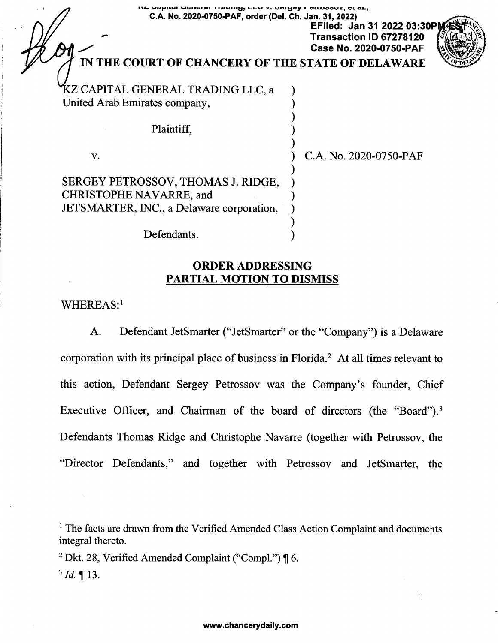| וע טפאונפו טפוופופו וופעווואַ, בבט 17 טפועפט ו פנוטפפטז, פניפה, |  |  |  |  |
|-----------------------------------------------------------------|--|--|--|--|
| C.A. No. 2020-0750-PAF, order (Del. Ch. Jan. 31, 2022)          |  |  |  |  |

**EFiled: Jan 31 2022 03:30PM - Transaction ID <sup>67278120</sup> Case No. 2020-0750-PAF**



# **IN THE COURT OF CHANCERY OF THE STATE OF DELAWARE**

)

)

)

) )

**KZ CAPITAL GENERAL TRADING LLC, a** United Arab Emirates company, )

Plaintiff, )

v. ) C.A. No. 2020-0750-PAF

SERGEY PETROSSOV, THOMAS J. RIDGE, CHRISTOPHE NAVARRE, and ) JETSMARTER, INC., a Delaware corporation,

Defendants.

## **ORDER ADDRESSING PARTIAL MOTION TO DISMISS**

WHEREAS:[1](#page-0-0)

A. Defendant JetSmarter ("JetSmarter" or the "Company") is a Delaware corporation with its principal place of business in Florida.<sup>[2](#page-0-1)</sup> At all times relevant to this action, Defendant Sergey Petrossov was the Company's founder, Chief Executive Officer, and Chairman of the board of directors (the "Board").<sup>[3](#page-0-2)</sup> Defendants Thomas Ridge and Christophe Navarre (together with Petrossov, the "Director Defendants," and together with Petrossov and JetSmarter, the

<span id="page-0-0"></span><sup>1</sup> The facts are drawn from the Verified Amended Class Action Complaint and documents integral thereto.

<span id="page-0-1"></span><sup>2</sup> Dkt. 28, Verified Amended Complaint ("Compl.")  $\P$  6.

<span id="page-0-2"></span> $3$  *Id.*  $\P$  13.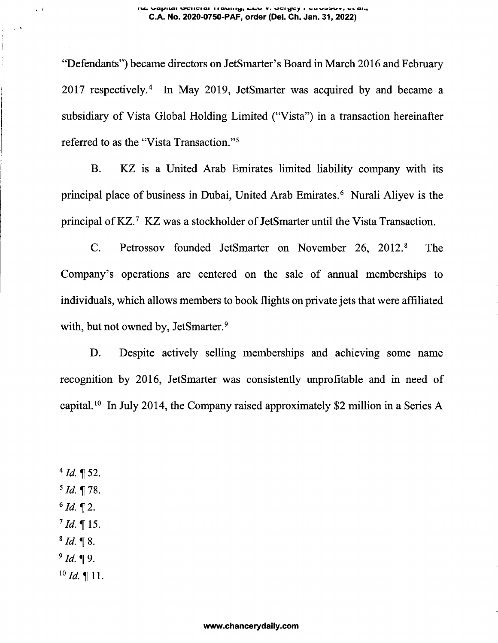#### **waji/itai wciiciai <sup>i</sup> ■aumy, v.** <sup>i</sup> uiivoouv, **ai., C.A. No. 2020-0750-PAF, order (Del. Ch. Jan. 31, 2022)**

"Defendants") became directors on JetSmarter's Board in March 2016 and February 2017 respectively.<sup>4</sup> In May 2019, JetSmarter was acquired by and became a subsidiary of Vista Global Holding Limited ("Vista") in a transaction hereinafter referred to as the "Vista Transaction."<sup>5</sup>

B. KZ is a United Arab Emirates limited liability company with its principal place of business in Dubai, United Arab Emirates.<sup>6</sup> Nurali Aliyev is the principal of KZ.<sup>7</sup> KZ was a stockholder of JetSmarter until the Vista Transaction.

C. Petrossov founded JetSmarter on November 26, 2012.<sup>8</sup> The Company's operations are centered on the sale of annual memberships to individuals, which allows members to book flights on private jets that were affiliated with, but not owned by, JetSmarter.<sup>9</sup>

D. Despite actively selling memberships and achieving some name recognition by 2016, JetSmarter was consistently unprofitable and in need of capital.<sup>10</sup> In July 2014, the Company raised approximately \$2 million in a Series A

 $4$  *Id.*  $\sqrt{9}$  52.  $^5$  *Id.*  $\P$  78.  $6$  *Id.* 12.  $^{7}$  *Id.* ¶ 15.  $8$  *Id.*  $\sqrt{\ }8$ .  $9$  *Id.* 19.  $^{10}$  *Id.* ¶ 11.

 $\sqrt{4}$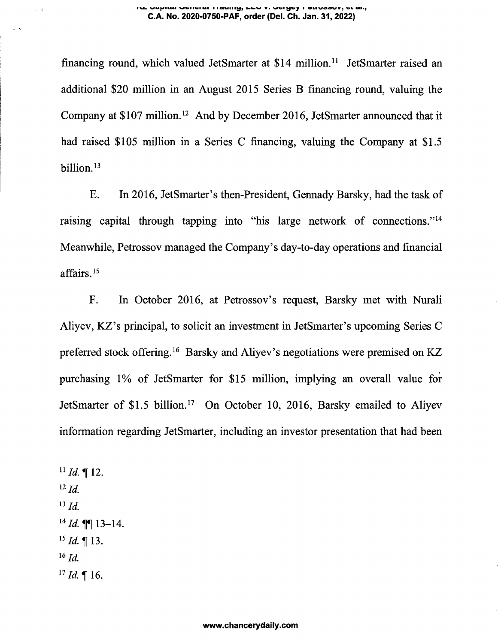#### **va^iiai wGiiciQi <sup>i</sup> lawiiivjj** <sup>v</sup>. **wd <sup>i</sup>** glivoovv, **ut ai>j C.A. No. 2020-0750-PAF, order (Del. Ch. Jan. 31, 2022)**

financing round, which valued JetSmarter at \$14 million.[11](#page-2-0) JetSmarter raised an additional \$20 million in an August 2015 Series B financing round, valuing the Company at \$107 million.[12](#page-2-1) And by December 2016, JetSmarter announced that it had raised \$105 million in a Series C financing, valuing the Company at \$1.5 billion.<sup>[13](#page-2-2)</sup>

E. In 2016, JetSmarter's then-President, Gennady Barsky, had the task of raising capital through tapping into "his large network of connections." [14](#page-2-3) Meanwhile, Petrossov managed the Company's day-to-day operations and financial affairs. 15

F. In October 2016, at Petrossov's request, Barsky met with Nurali Aliyev, KZ's principal, to solicit an investment in JetSmarter's upcoming Series C preferred stock offering.<sup>[16](#page-2-4)</sup> Barsky and Aliyev's negotiations were premised on KZ purchasing 1% of JetSmarter for \$15 million, implying an overall value for JetSmarter of \$1.5 billion.<sup>17</sup> On October 10, 2016, Barsky emailed to Aliyev information regarding JetSmarter, including an investor presentation that had been

<span id="page-2-4"></span><span id="page-2-3"></span><span id="page-2-2"></span><span id="page-2-1"></span><span id="page-2-0"></span> $11$  *Id.* | 12. *<sup>12</sup> Id. <sup>13</sup> Id. <sup>14</sup> Id.* ^13-14.  $^{15}$ *Id.* ¶ 13. *<sup>16</sup> Id.*  $^{17}$  *Id.*  $\llap{[}$  16.

 $\sim 1$ 

 $\ddot{\phantom{1}}$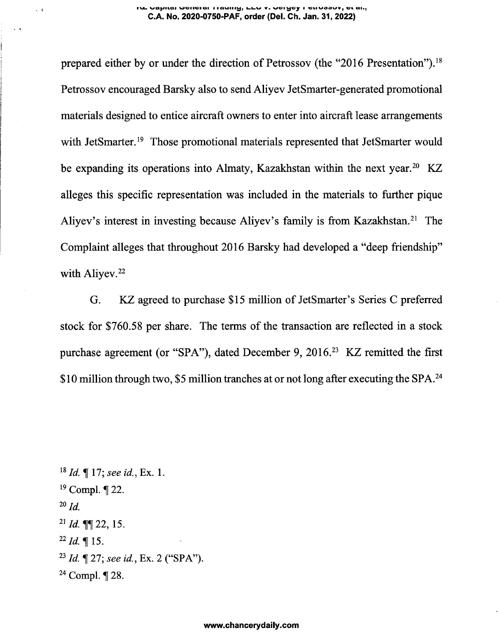#### **r\&. WCXJ^ILCll WGIIGIQI I IQVIllig, kkW «■ VGIKjCjf I VLIWOOW, Clli, C.A. No. 2020-0750-PAF, order (Del. Ch. Jan. 31, 2022)**

prepared either by or under the direction of Petrossov (the "2016 Presentation").[18](#page-3-0) Petrossov encouraged Barsky also to send Aliyev JetSmarter-generated promotional materials designed to entice aircraft owners to enter into aircraft lease arrangements with JetSmarter.<sup>[19](#page-3-1)</sup> Those promotional materials represented that JetSmarter would be expanding its operations into Almaty, Kazakhstan within the next year.<sup>[20](#page-3-2)</sup> KZ alleges this specific representation was included in the materials to further pique Aliyev's interest in investing because Aliyev's family is from Kazakhstan.<sup>[21](#page-3-3)</sup> The Complaint alleges that throughout 2016 Barsky had developed a "deep friendship" with Aliyev.<sup>[22](#page-3-4)</sup>

G. KZ agreed to purchase \$15 million of JetSmarter's Series C preferred stock for \$760.58 per share. The terms of the transaction are reflected in a stock purchase agreement (or "SPA"), dated December 9, 2016.<sup>[23](#page-3-5)</sup> KZ remitted the first \$10 million through two, \$5 million tranches at or not long after executing the SPA.<sup>[24](#page-3-6)</sup>

<span id="page-3-6"></span><span id="page-3-5"></span><span id="page-3-4"></span><span id="page-3-3"></span><span id="page-3-2"></span><span id="page-3-1"></span><span id="page-3-0"></span>*<sup>18</sup> Id.* If 17; *see id..* Ex. 1.  $19$  Compl.  $\P$  22. *<sup>20</sup> Id. <sup>21</sup> Id.* ^22, 15.  $^{22}$  *Id.*  $\blacksquare$  15. *<sup>23</sup> Id.* <sup>H</sup> 27; *see id..* Ex. 2 ("SPA"). <sup>24</sup> Compl. ¶ 28.

 $\sim 1$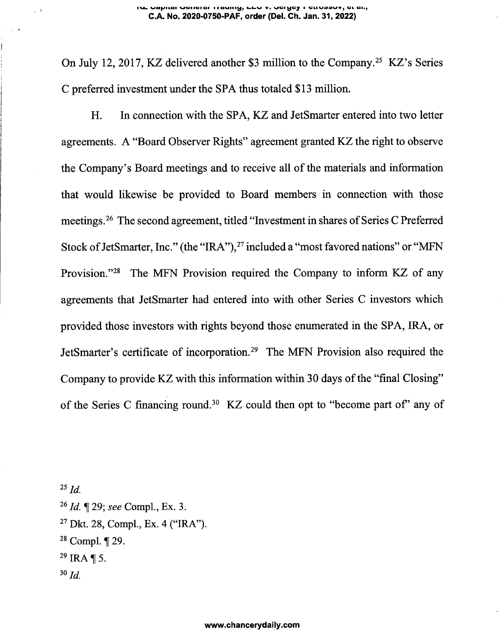On July 12, 2017, KZ delivered another \$3 million to the Company.[25](#page-4-0) KZ's Series C preferred investment under the SPA thus totaled \$13 million.

H. In connection with the SPA, KZ and JetSmarter entered into two letter agreements. A "Board Observer Rights" agreement granted KZ the right to observe the Company's Board meetings and to receive all of the materials and information that would likewise be provided to Board members in connection with those meetings.<sup>[26](#page-4-1)</sup> The second agreement, titled "Investment in shares of Series C Preferred Stock of JetSmarter, Inc." (the "IRA"),<sup>[27](#page-4-2)</sup> included a "most favored nations" or "MFN Provision."<sup>[28](#page-4-3)</sup> The MFN Provision required the Company to inform KZ of any agreements that JetSmarter had entered into with other Series C investors which provided those investors with rights beyond those enumerated in the SPA, IRA, or JetSmarter's certificate of incorporation.[29](#page-4-4) The MFN Provision also required the Company to provide KZ with this information within 30 days of the "final Closing" of the Series C financing round.<sup>30</sup> KZ could then opt to "become part of' any of

<span id="page-4-4"></span><span id="page-4-3"></span><span id="page-4-2"></span><span id="page-4-1"></span><span id="page-4-0"></span>*<sup>25</sup> Id. <sup>26</sup> Id.* 29; *see* Compl., Ex. 3. <sup>27</sup> Dkt. 28, Compl., Ex. 4 ("IRA").  $28$  Compl. | 29.  $^{29}$  IRA ¶ 5. *™Id.*

 $\sqrt{1}$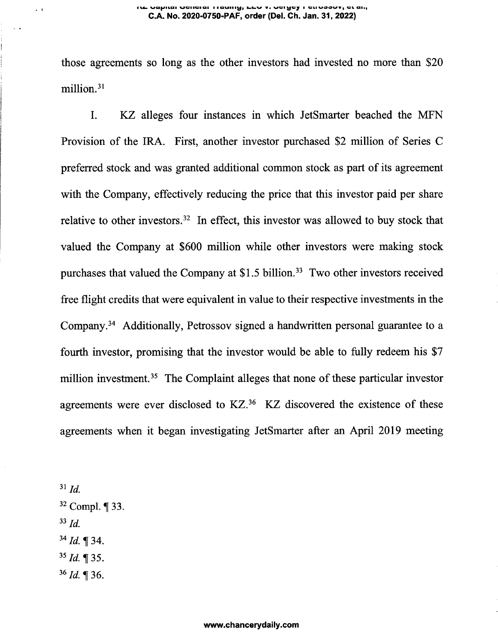#### **V&- WC«|>ILCII VGIIGIC1I I laMHI^j V. VGI yCJ I GlIVOOWVj Gl Cl|a> C.A. No. 2020-0750-PAF, order (Del. Ch. Jan. 31, 2022)**

those agreements so long as the other investors had invested no more than \$20 million.[31](#page-5-0)

I. KZ alleges four instances in which JetSmarter beached the MFN Provision of the IRA. First, another investor purchased \$2 million of Series C preferred stock and was granted additional common stock as part of its agreement with the Company, effectively reducing the price that this investor paid per share relative to other investors.[32](#page-5-1) In effect, this investor was allowed to buy stock that valued the Company at \$600 million while other investors were making stock purchases that valued the Company at  $$1.5$  billion.<sup>[33](#page-5-2)</sup> Two other investors received free flight credits that were equivalent in value to their respective investments in the Company.[34](#page-5-3) Additionally, Petrossov signed a handwritten personal guarantee to a fourth investor, promising that the investor would be able to fully redeem his \$7 million investment.<sup>[35](#page-5-4)</sup> The Complaint alleges that none of these particular investor agreements were ever disclosed to KZ.<sup>[36](#page-5-5)</sup> KZ discovered the existence of these agreements when it began investigating JetSmarter after an April 2019 meeting

<span id="page-5-5"></span><span id="page-5-4"></span><span id="page-5-3"></span><span id="page-5-2"></span><span id="page-5-1"></span><span id="page-5-0"></span>*<sup>31</sup> Id.* <sup>32</sup> Compl. ¶ 33. *<sup>33</sup> Id. <sup>34</sup> Id. ^34. <sup>35</sup> Id.* 35.  $36$  *Id.* 1 36.

 $\epsilon$  -  $\bar{\epsilon}$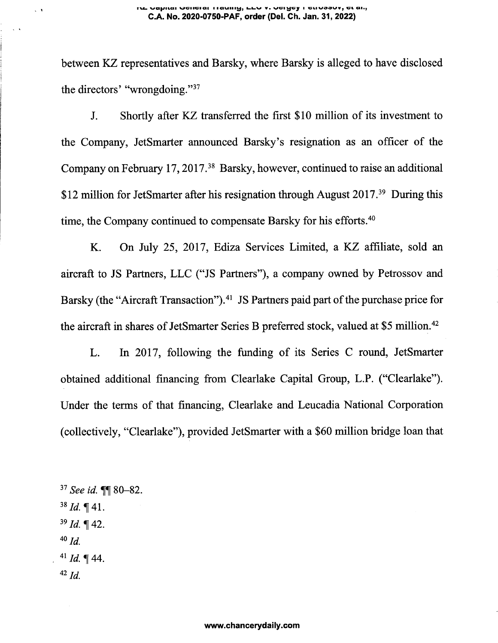between KZ representatives and Barsky, where Barsky is alleged to have disclosed the directors' "wrongdoing."[37](#page-6-0)

J. Shortly after KZ transferred the first \$10 million of its investment to the Company, JetSmarter announced Barsky's resignation as an officer of the Company on February 17,2017.[38](#page-6-1) Barsky, however, continued to raise an additional \$12 million for JetSmarter after his resignation through August 2017.<sup>[39](#page-6-2)</sup> During this time, the Company continued to compensate Barsky for his efforts.<sup>[40](#page-6-3)</sup>

K. On July 25, 2017, Ediza Services Limited, a KZ affiliate, sold an aircraft to JS Partners, LLC ("JS Partners"), a company owned by Petrossov and Barsky (the "Aircraft Transaction").<sup>[41](#page-6-4)</sup> JS Partners paid part of the purchase price for the aircraft in shares of JetSmarter Series B preferred stock, valued at \$5 million.<sup>[42](#page-6-5)</sup>

L. In 2017, following the funding of its Series C round, JetSmarter obtained additional financing from Clearlake Capital Group, L.P. ("Clearlake"). Under the terms of that financing, Clearlake and Leucadia National Corporation (collectively, "Clearlake"), provided JetSmarter with a \$60 million bridge loan that

<span id="page-6-5"></span><span id="page-6-4"></span><span id="page-6-3"></span><span id="page-6-2"></span><span id="page-6-1"></span><span id="page-6-0"></span><sup>37</sup> *See id.* **[1]** 80-82.  $38$  *Id.*  $\P$  41. *<sup>39</sup> Id.^* 42. *40 Id.*  $41$  *Id.*  $\P$  44. *42 Id.*

 $\zeta$  .  $\tilde{\chi}$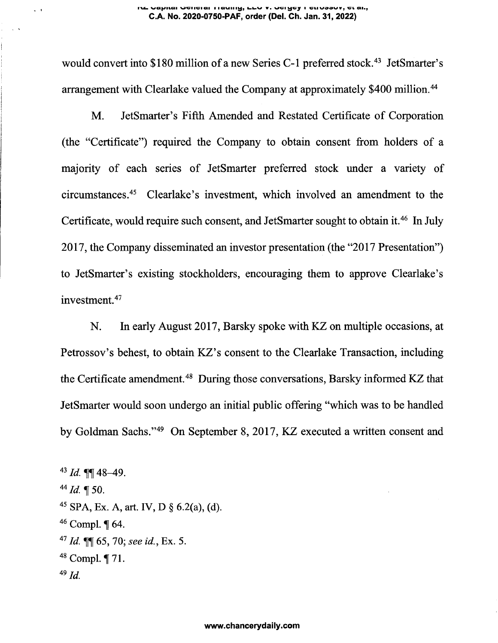#### **TVCoi WG(|>JILC1I MGIIGIQI <sup>I</sup> IQUIIIlj, UL>V V. Wl dlWOOW<sup>y</sup> CFfc Ohj C.A. No. 2020-0750-PAF, order (Del. Ch. Jan. 31, 2022)**

would convert into \$180 million of a new Series C-1 preferred stock.<sup>[43](#page-7-0)</sup> JetSmarter's arrangement with Clearlake valued the Company at approximately \$400 million.<sup>44</sup>

M. JetSmarter's Fifth Amended and Restated Certificate of Corporation (the "Certificate") required the Company to obtain consent from holders of a majority of each series of JetSmarter preferred stock under a variety of circumstances.[45](#page-7-1) Clearlake's investment, which involved an amendment to the Certificate, would require such consent, and JetSmarter sought to obtain it.<sup>[46](#page-7-2)</sup> In July 2017, the Company disseminated an investor presentation (the "2017 Presentation") to JetSmarter's existing stockholders, encouraging them to approve Clearlake's investment.[47](#page-7-3)

N. In early August 2017, Barsky spoke with KZ on multiple occasions, at Petrossov's behest, to obtain KZ's consent to the Clearlake Transaction, including the Certificate amendment.<sup>[48](#page-7-4)</sup> During those conversations, Barsky informed KZ that JetSmarter would soon undergo an initial public offering "which was to be handled by Goldman Sachs."[49](#page-7-5) On September 8, 2017, KZ executed a written consent and

<span id="page-7-5"></span><span id="page-7-4"></span><span id="page-7-3"></span><span id="page-7-2"></span><span id="page-7-1"></span><span id="page-7-0"></span> $43$  *Id.*  $\P\P$  48-49.  $^{44}$  *Id.*  $\P$  50. <sup>45</sup> SPA, Ex. A, art. IV, D § 6.2(a), (d).  $46$  Compl.  $\P$  64. *<sup>47</sup> Id.* 65, 70; *see id..* Ex. 5. <sup>48</sup> Compl. ¶ 71. *49 Id.*

 $\sim$  1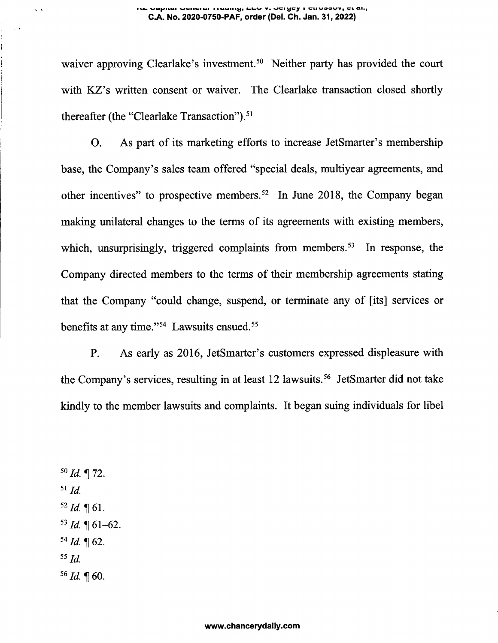#### **rv^ wa(j\*itcii** wciiciqi **<sup>i</sup> launay, v« vci^jcj <sup>i</sup> cuvoowv, vi ah, C.A. No. 2020-0750-PAF, order (Del. Ch. Jan. 31, 2022)**

waiver approving Clearlake's investment.<sup>[50](#page-8-0)</sup> Neither party has provided the court with KZ's written consent or waiver. The Clearlake transaction closed shortly thereafter (the "Clearlake Transaction").<sup>[51](#page-8-1)</sup>

O. As part of its marketing efforts to increase JetSmarter's membership base, the Company's sales team offered "special deals, multiyear agreements, and other incentives" to prospective members.[52](#page-8-2) In June 2018, the Company began making unilateral changes to the terms of its agreements with existing members, which, unsurprisingly, triggered complaints from members.<sup>[53](#page-8-3)</sup> In response, the Company directed members to the terms of their membership agreements stating that the Company "could change, suspend, or terminate any of [its] services or benefits at any time."<sup>[54](#page-8-4)</sup> Lawsuits ensued.<sup>[55](#page-8-5)</sup>

P. As early as 2016, JetSmarter's customers expressed displeasure with the Company's services, resulting in at least 12 lawsuits.<sup>[56](#page-8-6)</sup> JetSmarter did not take kindly to the member lawsuits and complaints. It began suing individuals for libel

<span id="page-8-6"></span><span id="page-8-5"></span><span id="page-8-4"></span><span id="page-8-3"></span><span id="page-8-2"></span><span id="page-8-1"></span><span id="page-8-0"></span> $50$  *Id.* 172. *<sup>51</sup> Id.*  $52$  *Id.*  $\P$  61.  $^{53}$  *Id.*  $\P$  61-62.  $54$  *Id.* 162. *<sup>55</sup> Id.*  $56$  *Id.*  $\sqrt{60}$ .

 $\ddot{\phantom{1}}$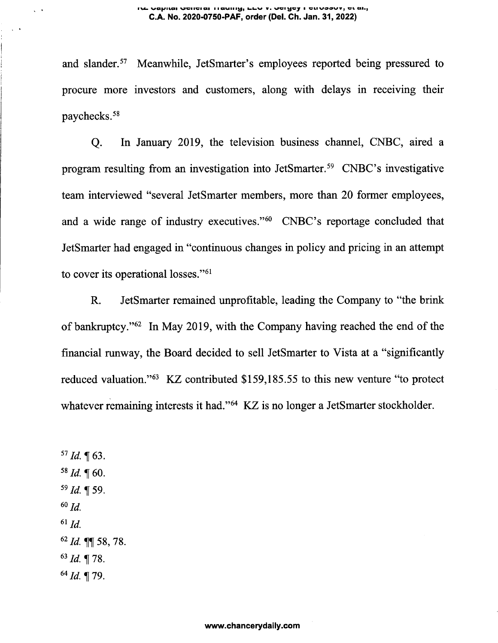#### **f wctf'Siicii moi iciai i i avail i^, <sup>v</sup> wai v\*i vaaavrv<sup>9</sup> ac aiij C.A. No. 2020-0750-PAF, order (Del. Ch. Jan. 31, 2022)**

and slander.[57](#page-9-0) Meanwhile, JetSmarter's employees reported being pressured to procure more investors and customers, along with delays in receiving their paychecks.[58](#page-9-1)

Q. In January 2019, the television business channel, CNBC, aired a program resulting from an investigation into JetSmarter.[59](#page-9-2) CNBC's investigative team interviewed "several JetSmarter members, more than 20 former employees, and a wide range of industry executives."[60](#page-9-3) CNBC's reportage concluded that JetSmarter had engaged in "continuous changes in policy and pricing in an attempt to cover its operational losses."[61](#page-9-4)

R. JetSmarter remained unprofitable, leading the Company to "the brink of bankruptcy."[62](#page-9-5) In May 2019, with the Company having reached the end of the financial runway, the Board decided to sell JetSmarter to Vista at a "significantly reduced valuation."[63](#page-9-6) KZ contributed \$159,185.55 to this new venture "to protect whatever remaining interests it had."<sup>[64](#page-9-7)</sup> KZ is no longer a JetSmarter stockholder.

<span id="page-9-7"></span><span id="page-9-6"></span><span id="page-9-5"></span><span id="page-9-4"></span><span id="page-9-3"></span><span id="page-9-2"></span><span id="page-9-1"></span><span id="page-9-0"></span> $57$  *Id.*  $\P$  63.  $58$  *Id.*  $\text{T}$  60. *<sup>59</sup> Id. ^59. 60 Id. <sup>61</sup> Id. <sup>62</sup> Id.* ffl[58, 78. *<sup>63</sup> Id.* 178. **<sup>64</sup> 7^4** 79.

 $\ddot{\phantom{0}}$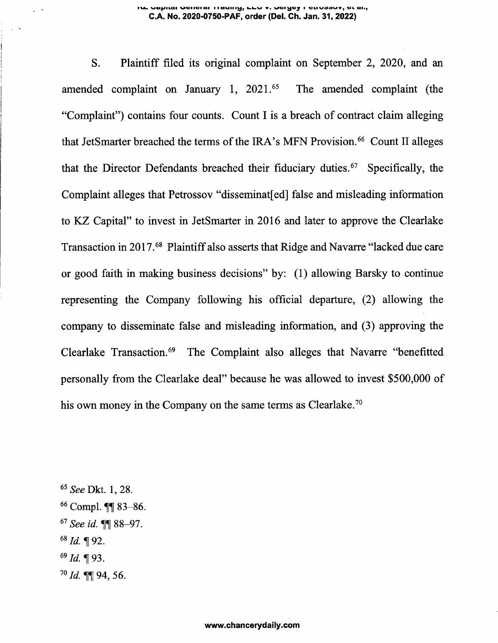#### **wci|S«icu wciiGiai i avail v. vgi^gj i giivqcwv, gi qi>, C.A. No. 2020-0750-PAF, order (Del. Ch. Jan. 31, 2022)**

S. Plaintiff filed its original complaint on September 2, 2020, and an amended complaint on January 1, 2021.<sup>[65](#page-10-0)</sup> The amended complaint (the "Complaint") contains four counts. Count I is a breach of contract claim alleging that JetSmarter breached the terms of the IRA's MFN Provision.<sup>[66](#page-10-1)</sup> Count II alleges that the Director Defendants breached their fiduciary duties.[67](#page-10-2) Specifically, the Complaint alleges that Petrossov "disseminat[ed] false and misleading information to KZ Capital" to invest in JetSmarter in 2016 and later to approve the Clearlake Transaction in 2017.<sup>68</sup> Plaintiffalso asserts that Ridge and Navarre "lacked due care or good faith in making business decisions" by: (1) allowing Barsky to continue representing the Company following his official departure, (2) allowing the company to disseminate false and misleading information, and (3) approving the Clearlake Transaction.<sup>[69](#page-10-3)</sup> The Complaint also alleges that Navarre "benefitted" personally from the Clearlake deal" because he was allowed to invest \$500,000 of his own money in the Company on the same terms as Clearlake.<sup>[70](#page-10-4)</sup>

<span id="page-10-4"></span><span id="page-10-3"></span><span id="page-10-2"></span><span id="page-10-1"></span><span id="page-10-0"></span>*<sup>65</sup> See* Dkt. 1, 28. <sup>66</sup> Compl. **11** 83-86. *<sup>67</sup> See id.* 88-97. *6&Id.* H 92. *<sup>69</sup> Id.* 93. *<sup>70</sup> Id.* ^94, 56.

 $\frac{1}{2}$  .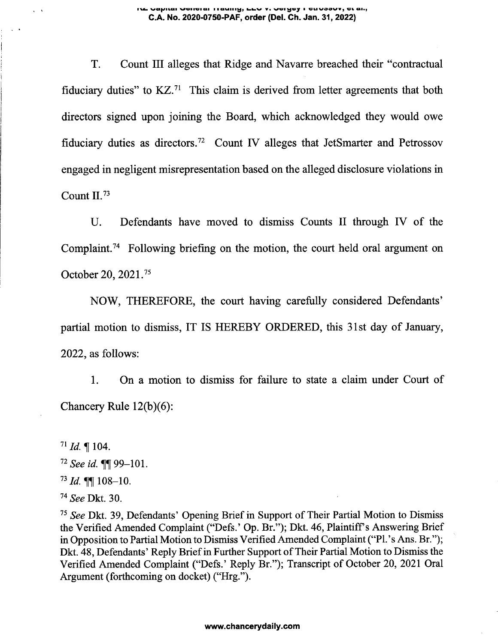### **ive vapilai vciiciai ii auiily, LEV v. vciycy i cuvoovv, ct ai., C.A. No. 2020-0750-PAF, order (Del. Ch. Jan. 31, 2022)**

T. Count III alleges that Ridge and Navarre breached their "contractual fiduciary duties" to KZ.[71](#page-11-0) This claim is derived from letter agreements that both directors signed upon joining the Board, which acknowledged they would owe fiduciary duties as directors.[72](#page-11-1) Count IV alleges that JetSmarter and Petrossov engaged in negligent misrepresentation based on the alleged disclosure violations in Count II.[73](#page-11-2)

U. Defendants have moved to dismiss Counts II through IV of the Complaint.[74](#page-11-3) Following briefing on the motion, the court held oral argument on October 20, 2021.[75](#page-11-4)

NOW, THEREFORE, the court having carefully considered Defendants' partial motion to dismiss, IT IS HEREBY ORDERED, this 31st day of January, 2022, as follows:

1. On a motion to dismiss for failure to state a claim under Court of Chancery Rule 12(b)(6):

<span id="page-11-0"></span> $71$  *Id.* 104.

<span id="page-11-1"></span>*<sup>72</sup> See id.* 99-101.

<span id="page-11-2"></span>*<sup>73</sup> Id.* 108-10.

<span id="page-11-3"></span>*<sup>74</sup> See* Dkt. 30.

<span id="page-11-4"></span>*<sup>75</sup> See* Dkt. 39, Defendants' Opening Briefin Support of Their Partial Motion to Dismiss the Verified Amended Complaint ("Defs.' Op. Br."); Dkt. 46, Plaintiff's Answering Brief in Opposition to Partial Motion to Dismiss Verified Amended Complaint ("Pl.'s Ans. Br."); Dkt. 48, Defendants' Reply Brief in Further Support of Their Partial Motion to Dismiss the Verified Amended Complaint ("Defs.' Reply Br."); Transcript of October 20, 2021 Oral Argument (forthcoming on docket) ("Hrg.").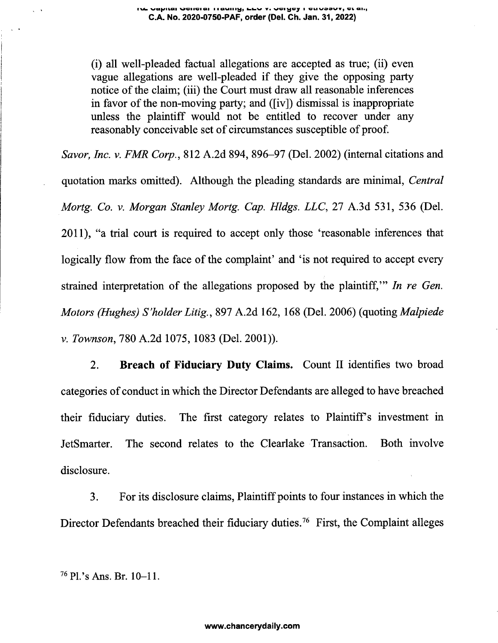(i) all well-pleaded factual allegations are accepted as true; (ii) even vague allegations are well-pleaded if they give the opposing party notice of the claim; (iii) the Court must draw all reasonable inferences in favor of the non-moving party; and  $([iv])$  dismissal is inappropriate unless the plaintiff would not be entitled to recover under any reasonably conceivable set of circumstances susceptible of proof.

*Savor, Inc. v. FMR Corp.,* 812 A.2d 894, 896-97 (Del. 2002) (internal citations and quotation marks omitted). Although the pleading standards are minimal, *Central Mortg. Co. v. Morgan Stanley Mortg. Cap. Hldgs. LLC,* 27 A.3d 531, 536 (Del. 2011), "a trial court is required to accept only those 'reasonable inferences that logically flow from the face of the complaint' and 'is not required to accept every strained interpretation of the allegations proposed by the plaintiff,'" *In re Gen. Motors (Hughes) S'holder Litig.,* <sup>897</sup> A.2d 162, <sup>168</sup> (Del. 2006) (quoting *Malpiede v. Townson,* 780 A.2d 1075, 1083 (Del. 2001)).

2. **Breach of Fiduciary Duty Claims.** Count II identifies two broad categories of conduct in which the Director Defendants are alleged to have breached their fiduciary duties. The first category relates to Plaintiff's investment in JetSmarter. The second relates to the Clearlake Transaction. Both involve disclosure.

3. For its disclosure claims, Plaintiff points to four instances in which the Director Defendants breached their fiduciary duties.<sup>76</sup> First, the Complaint alleges

<sup>76</sup> Pl.'s Ans. Br. 10-11.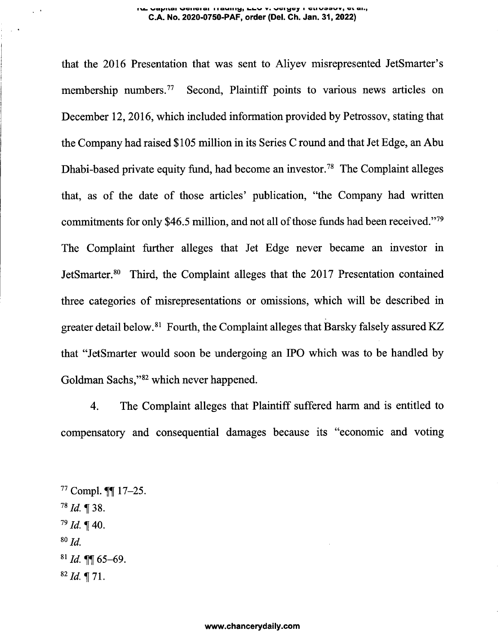#### **va^Hai vciiciai lavtiug, v. vcisjcjr wivoow, Qh, C.A. No. 2020-0750-PAF, order (Del. Ch. Jan. 31, 2022)**

that the 2016 Presentation that was sent to Aliyev misrepresented JetSmarter's membership numbers.<sup>[77](#page-13-0)</sup> Second, Plaintiff points to various news articles on December 12, 2016, which included information provided by Petrossov, stating that the Company had raised \$105 million in its Series C round and that Jet Edge, an Abu Dhabi-based private equity fund, had become an investor.<sup>[78](#page-13-1)</sup> The Complaint alleges that, as of the date of those articles' publication, "the Company had written commitments for only \$46.5 million, and not all of those funds had been received."<sup>[79](#page-13-2)</sup> The Complaint further alleges that Jet Edge never became an investor in JetSmarter.[80](#page-13-3) Third, the Complaint alleges that the 2017 Presentation contained three categories of misrepresentations or omissions, which will be described in greater detail below.[81](#page-13-4) Fourth, the Complaint alleges that Barsky falsely assured KZ that "JetSmarter would soon be undergoing an IPO which was to be handled by Goldman Sachs,"[82](#page-13-5) which never happened.

<span id="page-13-0"></span>4. The Complaint alleges that Plaintiff suffered harm and is entitled to compensatory and consequential damages because its "economic and voting

<span id="page-13-5"></span><span id="page-13-4"></span><span id="page-13-3"></span><span id="page-13-2"></span><span id="page-13-1"></span> $77$  Compl.  $\P\P$  17-25.  $78$  *Id.* 1 38.  $^{79}$  *Id.* ¶ 40.  $80$   $Id$ . *<sup>81</sup> Id.* 65-69.  $82$  *Id.* 171.

 $\sim$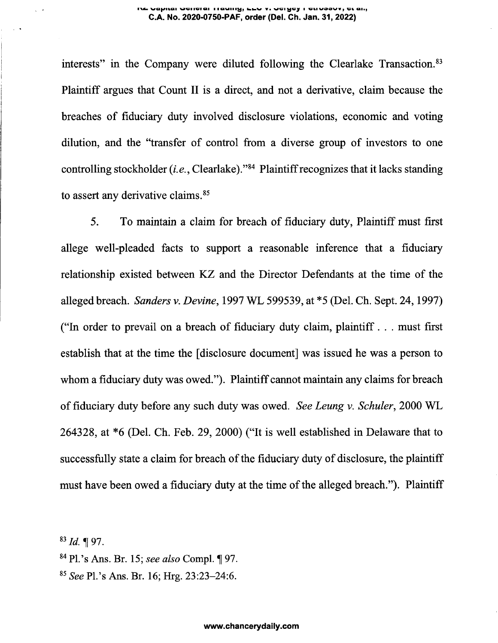#### **iml vafyuai wcaiGiai lauintj, huv v.wGigcy <sup>i</sup> on voovt, vi ai.j C.A. No. 2020-0750-PAF, order (Del. Ch. Jan. 31, 2022)**

interests" in the Company were diluted following the Clearlake Transaction.<sup>[83](#page-14-0)</sup> Plaintiff argues that Count II is a direct, and not a derivative, claim because the breaches of fiduciary duty involved disclosure violations, economic and voting dilution, and the "transfer of control from a diverse group of investors to one controlling stockholder *(i.e.,* Clearlake)."[84](#page-14-1) Plaintiffrecognizes that it lacks standing to assert any derivative claims.<sup>[85](#page-14-2)</sup>

5. To maintain a claim for breach of fiduciary duty, Plaintiff must first allege well-pleaded facts to support a reasonable inference that a fiduciary relationship existed between KZ and the Director Defendants at the time of the alleged breach. *Sanders v. Devine,* 1997 WL 599539, at \*5 (Del. Ch. Sept. 24,1997) ("In order to prevail on a breach of fiduciary duty claim, plaintiff . . . must first establish that at the time the [disclosure document] was issued he was a person to whom a fiduciary duty was owed."). Plaintiff cannot maintain any claims for breach offiduciary duty before any such duty was owed. *See Leung v. Schuler,* 2000 WL 264328, at \*6 (Del. Ch. Feb. 29, 2000) ("It is well established in Delaware that to successfully state a claim for breach of the fiduciary duty of disclosure, the plaintiff must have been owed a fiduciary duty at the time of the alleged breach."). Plaintiff

<span id="page-14-0"></span>83 *Id.* 197.

- <span id="page-14-1"></span><sup>84</sup> Pl.'s Ans. Br. 15; *see also* Compl. 97.
- <span id="page-14-2"></span>*<sup>85</sup> See* Pl.'s Ans. Br. 16; Hrg. 23:23-24:6.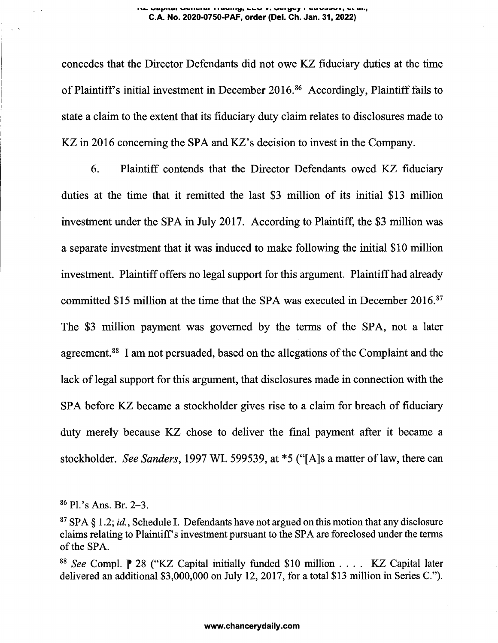#### **va^uai wii^icii naMiiiKj, \*• WGiycy <sup>i</sup> ciivoavv, ciaia) C.A. No. 2020-0750-PAF, order (Dei. Ch. Jan. 31, 2022)**

concedes that the Director Defendants did not owe KZ fiduciary duties at the time of Plaintiff's initial investment in December  $2016<sup>86</sup>$  $2016<sup>86</sup>$  $2016<sup>86</sup>$  Accordingly, Plaintiff fails to state a claim to the extent that its fiduciary duty claim relates to disclosures made to KZ in 2016 concerning the SPA and KZ's decision to invest in the Company.

6. Plaintiff contends that the Director Defendants owed KZ fiduciary duties at the time that it remitted the last \$3 million of its initial \$13 million investment under the SPA in July 2017. According to Plaintiff, the \$3 million was a separate investment that it was induced to make following the initial \$10 million investment. Plaintiff offers no legal support for this argument. Plaintiff had already committed \$15 million at the time that the SPA was executed in December 2016.<sup>[87](#page-15-1)</sup> The \$3 million payment was governed by the terms of the SPA, not a later agreement.<sup>[88](#page-15-2)</sup> I am not persuaded, based on the allegations of the Complaint and the lack of legal support for this argument, that disclosures made in connection with the SPA before KZ became a stockholder gives rise to a claim for breach of fiduciary duty merely because KZ chose to deliver the final payment after it became a stockholder. *See Sanders,* 1997 WL 599539, at \*5 ("[A]s a matter oflaw, there can

<span id="page-15-1"></span><span id="page-15-0"></span><sup>86</sup> Pl.'s Ans. Br. 2-3.

<span id="page-15-2"></span><sup>88</sup> *See* Compl. <sup>28</sup> ("KZ Capital initially funded \$10 million . . . . KZ Capital later delivered an additional \$3,000,000 on July 12, 2017, for a total \$13 million in Series C.").

<sup>87</sup> SPA § 1.2; *id.*, Schedule I. Defendants have not argued on this motion that any disclosure claims relating to Plaintiff's investment pursuant to the SPA are foreclosed under the terms of the SPA.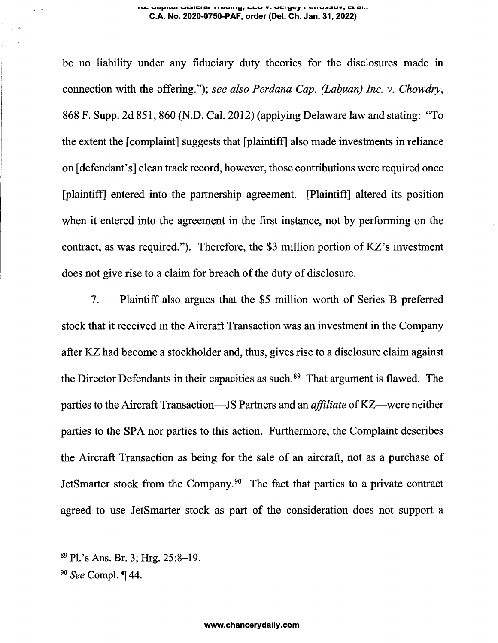#### **u. va^iiQi wgiigiqi <sup>i</sup> <sup>a</sup> availiy, ulv <sup>v</sup>.vgi^sj <sup>a</sup> sn vaouv, vi aii, C.A. No. 2020-0750-PAF, order (Del. Ch. Jan. 31, 2022)**

be no liability under any fiduciary duty theories for the disclosures made in connection with the offering."); *see also Perdana Cap. (Labuan) Inc. v. Chowdry,* 868 F. Supp. 2d 851, 860 (N.D. Cal. 2012) (applying Delaware law and stating: "To the extent the [complaint] suggests that [plaintiff] also made investments in reliance on [defendant's] clean track record, however, those contributions were required once [plaintiff] entered into the partnership agreement. [Plaintiff] altered its position when it entered into the agreement in the first instance, not by performing on the contract, as was required."). Therefore, the \$3 million portion of KZ's investment does not give rise to a claim for breach of the duty of disclosure.

7. Plaintiff also argues that the \$5 million worth of Series B preferred stock that it received in the Aircraft Transaction was an investment in the Company after KZ had become a stockholder and, thus, gives rise to a disclosure claim against the Director Defendants in their capacities as such.<sup>[89](#page-16-0)</sup> That argument is flawed. The parties to the Aircraft Transaction—JS Partners and an *affiliate* of KZ—were neither parties to the SPA nor parties to this action. Furthermore, the Complaint describes the Aircraft Transaction as being for the sale of an aircraft, not as a purchase of JetSmarter stock from the Company.[90](#page-16-1) The fact that parties to a private contract agreed to use JetSmarter stock as part of the consideration does not support a

<span id="page-16-1"></span><span id="page-16-0"></span><sup>89</sup> Pl.'s Ans. Br. 3; Hrg. 25:8-19.  $90$  See Compl. ¶ 44.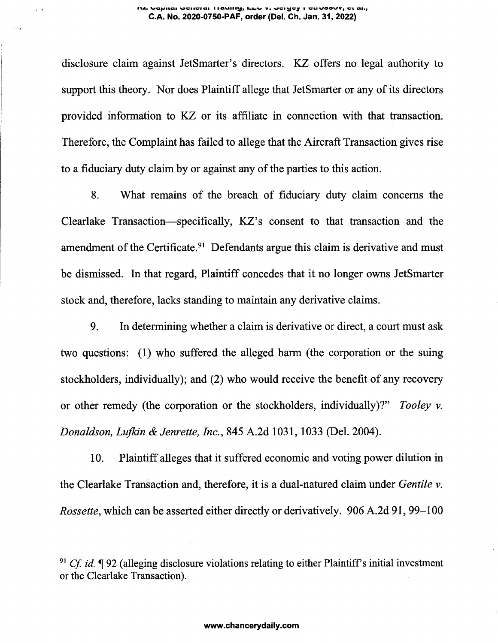#### **rv«- vafi/ikai wciiuiai <sup>i</sup> icimiiivj, <sup>v</sup>. vgi^cj <sup>i</sup> viivdQWj ci ah; C.A. No. 2020-0750-PAF, order (Del. Ch. Jan. 31, 2022)**

disclosure claim against JetSmarter's directors. KZ offers no legal authority to support this theory. Nor does Plaintiff allege that JetSmarter or any of its directors provided information to KZ or its affiliate in connection with that transaction. Therefore, the Complaint has failed to allege that the Aircraft Transaction gives rise to a fiduciary duty claim by or against any of the parties to this action.

8. What remains of the breach of fiduciary duty claim concerns the Clearlake Transaction—specifically, KZ's consent to that transaction and the amendment of the Certificate.<sup>91</sup> Defendants argue this claim is derivative and must be dismissed. In that regard, Plaintiff concedes that it no longer owns JetSmarter stock and, therefore, lacks standing to maintain any derivative claims.

9. In determining whether a claim is derivative or direct, a court must ask two questions: (1) who suffered the alleged harm (the corporation or the suing stockholders, individually); and (2) who would receive the benefit of any recovery or other remedy (the corporation or the stockholders, individually)?" *Tooley v. Donaldson, Lufkin & Jenrette, Inc.,* 845 A.2d 1031, 1033 (Del. 2004).

10. Plaintiff alleges that it suffered economic and voting power dilution in the Clearlake Transaction and, therefore, it is a dual-natured claim under *Gentile v. Rossette,* which can be asserted either directly or derivatively. 906 A.2d 91, 99-100

<sup>&</sup>lt;sup>91</sup> *Cf. id.*  $\P$  92 (alleging disclosure violations relating to either Plaintiff's initial investment or the Clearlake Transaction).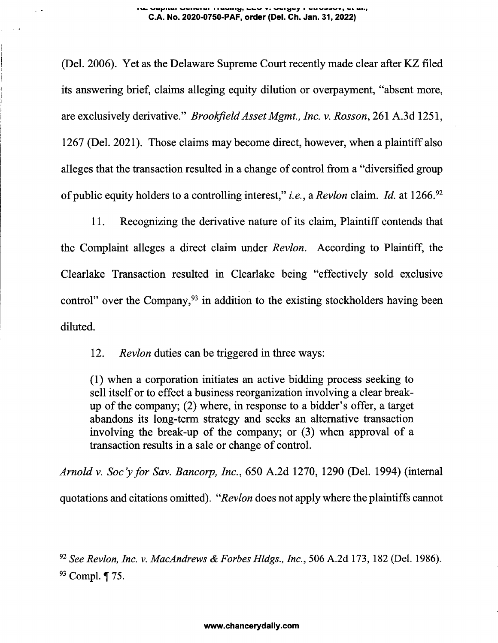#### **va^iicii wsiiciai <sup>i</sup> iqmiii^, «■ vci^cjr <sup>i</sup> suvo^v\*, qi., C.A. No. 2020-0750-PAF, order (Del. Ch. Jan. 31, 2022)**

(Del. 2006). Yet as the Delaware Supreme Court recently made clear after KZ filed its answering brief, claims alleging equity dilution or overpayment, "absent more, are exclusively derivative." *BrookfieldAssetMgmt., Inc. v. Rosson,* 261 A.3d 1251, 1267 (Del. 2021). Those claims may become direct, however, when a plaintiff also alleges that the transaction resulted in a change of control from a "diversified group of public equity holders to a controlling interest," *i.e.*, a *Revlon* claim. *Id.* at 1266.<sup>[92](#page-18-0)</sup>

11. Recognizing the derivative nature of its claim, Plaintiff contends that the Complaint alleges a direct claim under *Revlon.* According to Plaintiff, the Clearlake Transaction resulted in Clearlake being "effectively sold exclusive control" over the Company,  $93$  in addition to the existing stockholders having been diluted.

12. *Revlon* duties can be triggered in three ways:

(1) when a corporation initiates an active bidding process seeking to sell itself or to effect a business reorganization involving a clear breakup of the company; (2) where, in response to a bidder's offer, a target abandons its long-term strategy and seeks an alternative transaction involving the break-up of the company; or (3) when approval of a transaction results in a sale or change of control.

<span id="page-18-0"></span>*Arnold v. Soc'yfor Sav. Bancorp, Inc.,* 650 A.2d 1270, 1290 (Del. 1994) (internal quotations and citations omitted). *"Revlon* does not apply where the plaintiffs cannot

<span id="page-18-1"></span>*<sup>92</sup> See Revlon, Inc. v. MacAndrews & Forbes Hldgs., Inc.,* 506 A.2d 173, 182 (Del. 1986).  $93$  Compl.  $\P$  75.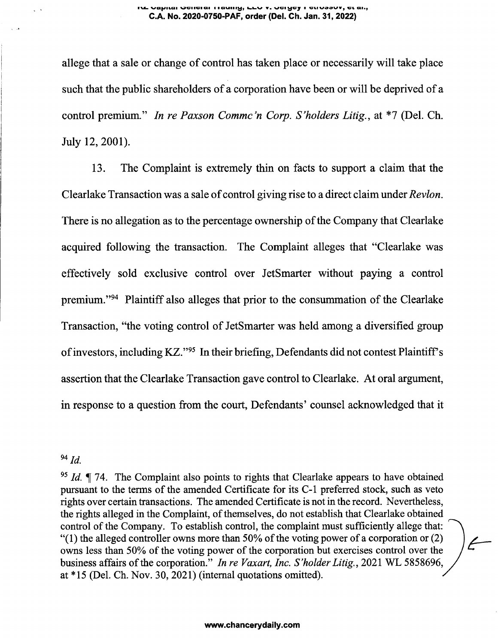#### **wafyitiCii WGiisiai lauiiivj, v. wgikjcj <sup>i</sup> cmwoovv, an, C.A. No. 2020-0750-PAF, order (Del. Ch. Jan. 31, 2022)**

allege that a sale or change of control has taken place or necessarily will take place such that the public shareholders of a corporation have been or will be deprived of a control premium." *In re Paxson Commc'<sup>n</sup> Corp. S'holders Litig.,* at \*7 (Del. Ch. July 12, 2001).

13. The Complaint is extremely thin on facts to support a claim that the Clearlake Transaction was a sale of control giving rise to a direct claim under *Revlon*. There is no allegation as to the percentage ownership of the Company that Clearlake acquired following the transaction. The Complaint alleges that "Clearlake was effectively sold exclusive control over JetSmarter without paying a control premium."<sup>[94](#page-19-0)</sup> Plaintiff also alleges that prior to the consummation of the Clearlake Transaction, "the voting control of JetSmarter was held among a diversified group of investors, including KZ."[95](#page-19-1) In their briefing, Defendants did not contest Plaintiff's assertion that the Clearlake Transaction gave control to Clearlake. At oral argument, in response to a question from the court, Defendants' counsel acknowledged that it

<span id="page-19-0"></span>*<sup>94</sup> Id.*

<span id="page-19-1"></span>*<sup>95</sup> Id.* 74. The Complaint also points to rights that Clearlake appears to have obtained pursuant to the terms of the amended Certificate for its C-1 preferred stock, such as veto rights over certain transactions. The amended Certificate is not in the record. Nevertheless, the rights alleged in the Complaint, of themselves, do not establish that Clearlake obtained control of the Company. To establish control, the complaint must sufficiently allege that: "(1) the alleged controller owns more than 50% of the voting power of a corporation or  $(2)$ owns less than 50% of the voting power of the corporation but exercises control over the business affairs ofthe corporation." *In re Vaxart, Inc. S'holder Litig.,* 2021 WL 5858696, at \*15 (Del. Ch. Nov. 30, 2021) (internal quotations omitted).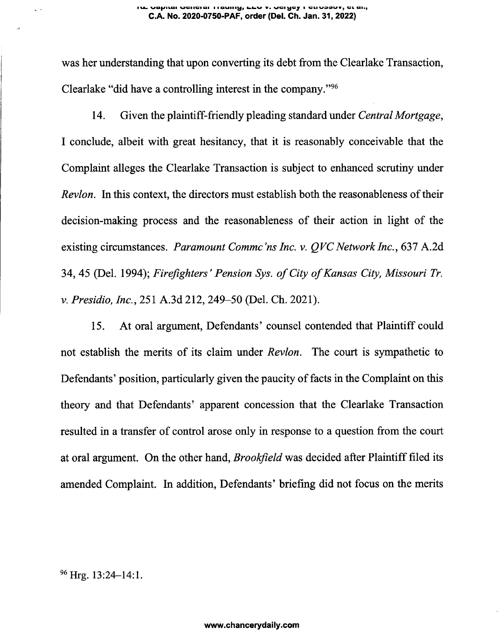was her understanding that upon converting its debt from the Clearlake Transaction, Clearlake "did have a controlling interest in the company."<sup>96</sup>

14. Given the plaintiff-friendly pleading standard under *CentralMortgage,* I conclude, albeit with great hesitancy, that it is reasonably conceivable that the Complaint alleges the Clearlake Transaction is subject to enhanced scrutiny under *Revlon.* In this context, the directors must establish both the reasonableness of their decision-making process and the reasonableness of their action in light of the existing circumstances. *Paramount Commc'ns Inc. v. QVCNetwork Inc.,* 637 A.2d 34, 45 (Del. 1994); *Firefighters ' Pension Sys. ofCity ofKansas City, Missouri Tr. v. Presidio, Inc.,* 251 A.3d 212, 249-50 (Del. Ch. 2021).

15. At oral argument, Defendants' counsel contended that Plaintiff could not establish the merits of its claim under *Revlon.* The court is sympathetic to Defendants' position, particularly given the paucity of facts in the Complaint on this theory and that Defendants' apparent concession that the Clearlake Transaction resulted in a transfer of control arose only in response to a question from the court at oral argument. On the other hand, *Brookfield* was decided after Plaintifffiled its amended Complaint. In addition, Defendants' briefing did not focus on the merits

<sup>96</sup> Hrg. 13:24–14:1.

 $\sim$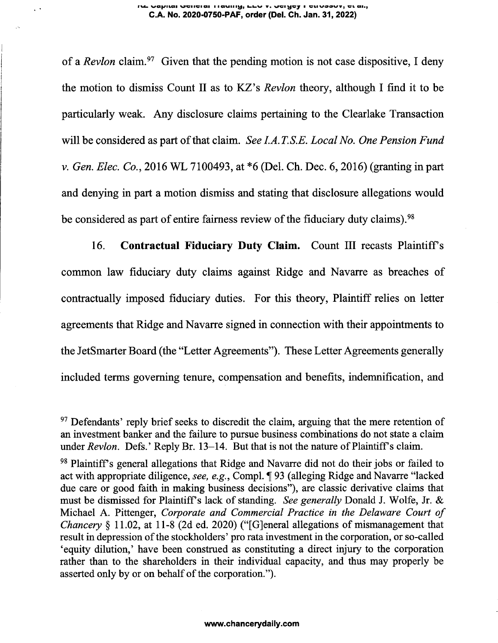#### **rvc- wunviai <sup>i</sup> lauiiikj, v. gmvoowvj w ai., C.A. No. 2020-0750-PAF, order (Del. Ch. Jan. 31, 2022)**

 $\mathbb{R}^{\mathbb{Z}}$ 

of a *Revlon* claim.<sup>[97](#page-21-0)</sup> Given that the pending motion is not case dispositive, I deny the motion to dismiss Count II as to KZ's *Revlon* theory, although I find it to be particularly weak. Any disclosure claims pertaining to the Clearlake Transaction will be considered as part of that claim. *See I.A.T.S.E. Local No. One Pension Fund v. Gen. Elec. Co.,* 2016 WL 7100493, at \*6 (Del. Ch. Dec. 6, 2016) (granting in part and denying in part a motion dismiss and stating that disclosure allegations would be considered as part of entire fairness review of the fiduciary duty claims).<sup>[98](#page-21-1)</sup>

16. **Contractual Fiduciary Duty Claim.** Count III recasts Plaintiffs common law fiduciary duty claims against Ridge and Navarre as breaches of contractually imposed fiduciary duties. For this theory, Plaintiff relies on letter agreements that Ridge and Navarre signed in connection with their appointments to the JetSmarter Board (the "Letter Agreements"). These Letter Agreements generally included terms governing tenure, compensation and benefits, indemnification, and

<span id="page-21-0"></span><sup>&</sup>lt;sup>97</sup> Defendants' reply brief seeks to discredit the claim, arguing that the mere retention of an investment banker and the failure to pursue business combinations do not state a claim under *Revlon.* Defs.' Reply Br. 13–14. But that is not the nature of Plaintiff's claim.

<span id="page-21-1"></span><sup>&</sup>lt;sup>98</sup> Plaintiff's general allegations that Ridge and Navarre did not do their jobs or failed to act with appropriate diligence, *see, e.g.,* Compl. 93 (alleging Ridge and Navarre "lacked due care or good faith in making business decisions"), are classic derivative claims that must be dismissed for Plaintiffs lack of standing. *See generally* Donald J. Wolfe, Jr. & Michael A. Pittenger, *Corporate and Commercial Practice in the Delaware Court of Chancery* § 11.02, at 11-8 (2d ed. 2020) ("[G]eneral allegations of mismanagement that result in depression of the stockholders' pro rata investment in the corporation, or so-called 'equity dilution,' have been construed as constituting a direct injury to the corporation rather than to the shareholders in their individual capacity, and thus may properly be asserted only by or on behalf of the corporation.").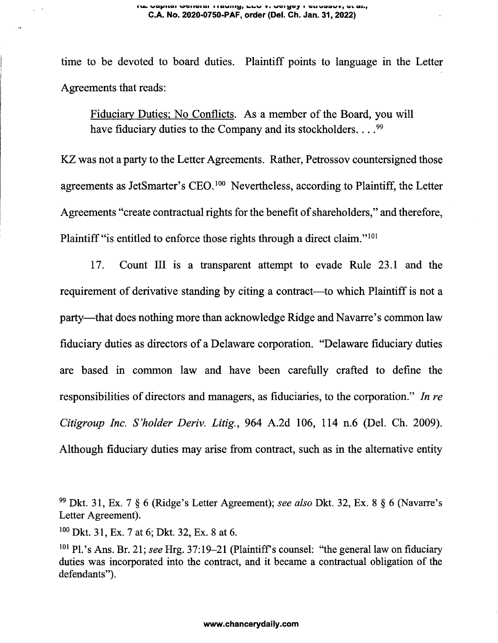time to be devoted to board duties. Plaintiff points to language in the Letter Agreements that reads:

Fiduciary Duties; No Conflicts. As a member of the Board, you will have fiduciary duties to the Company and its stockholders.... $^{99}$ 

KZ was not a party to the Letter Agreements. Rather, Petrossov countersigned those agreements as JetSmarter's CEO.<sup>100</sup> Nevertheless, according to Plaintiff, the Letter Agreements "create contractual rights for the benefit of shareholders," and therefore, Plaintiff "is entitled to enforce those rights through a direct claim."<sup>101</sup>

17. Count III is a transparent attempt to evade Rule 23.1 and the requirement of derivative standing by citing a contract—to which Plaintiff is not a party—that does nothing more than acknowledge Ridge and Navarre's common law fiduciary duties as directors of a Delaware corporation. "Delaware fiduciary duties are based in common law and have been carefully crafted to define the responsibilities of directors and managers, as fiduciaries, to the corporation." *In re Citigroup Inc. S'holder Deriv. Litig.,* <sup>964</sup> A.2d 106, <sup>114</sup> n.6 (Del. Ch. 2009). Although fiduciary duties may arise from contract, such as in the alternative entity

<sup>&</sup>lt;sup>99</sup> Dkt. 31, Ex. 7 § 6 (Ridge's Letter Agreement); *see also* Dkt. 32, Ex. 8 § 6 (Navarre's Letter Agreement).

<sup>100</sup> Dkt. 31, Ex. 7 at 6; Dkt. 32, Ex. 8 at 6.

<sup>&</sup>lt;sup>101</sup> Pl.'s Ans. Br. 21; *see* Hrg. 37:19–21 (Plaintiff's counsel: "the general law on fiduciary duties was incorporated into the contract, and it became a contractual obligation of the defendants").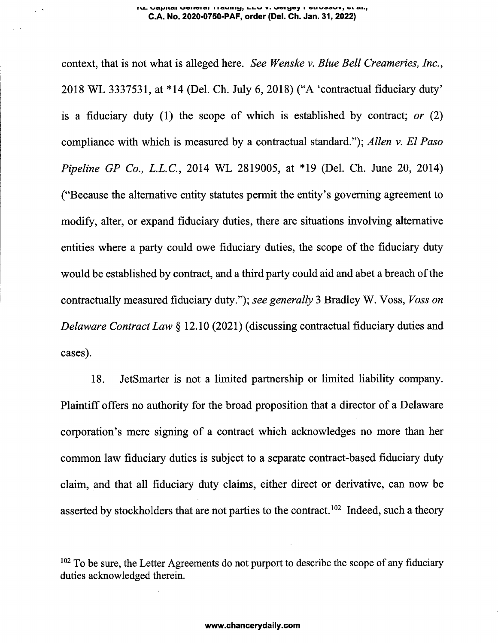#### **rvc- vaf/nai wgiigiqi <sup>i</sup> icavam^, v. <sup>i</sup> giivgowv, gl an, C.A. No. 2020-0750-PAF, order (Del. Ch. Jan. 31, 2022)**

context, that is not what is alleged here. *See Wenske* v. *Blue Bell Creameries, Inc.,* 2018 WL 3337531, at \*14 (Del. Ch. July 6, 2018) ("A 'contractual fiduciary duty' is a fiduciary duty (1) the scope of which is established by contract; *or* (2) compliance with which is measured by a contractual standard."); *Allen v. El Paso Pipeline GP Co., L.L.C,* 2014 WL 2819005, at \*19 (Del. Ch. June 20, 2014) ("Because the alternative entity statutes permit the entity's governing agreement to modify, alter, or expand fiduciary duties, there are situations involving alternative entities where a party could owe fiduciary duties, the scope of the fiduciary duty would be established by contract, and a third party could aid and abet a breach of the contractually measured fiduciary duty."); *see generally* 3 Bradley W. Voss, *Voss on Delaware Contract Law* § 12.10 (2021) (discussing contractual fiduciary duties and cases).

18. JetSmarter is not a limited partnership or limited liability company. Plaintiff offers no authority for the broad proposition that a director of a Delaware corporation's mere signing of a contract which acknowledges no more than her common law fiduciary duties is subject to a separate contract-based fiduciary duty claim, and that all fiduciary duty claims, either direct or derivative, can now be asserted by stockholders that are not parties to the contract.<sup>102</sup> Indeed, such a theory

 $102$  To be sure, the Letter Agreements do not purport to describe the scope of any fiduciary duties acknowledged therein.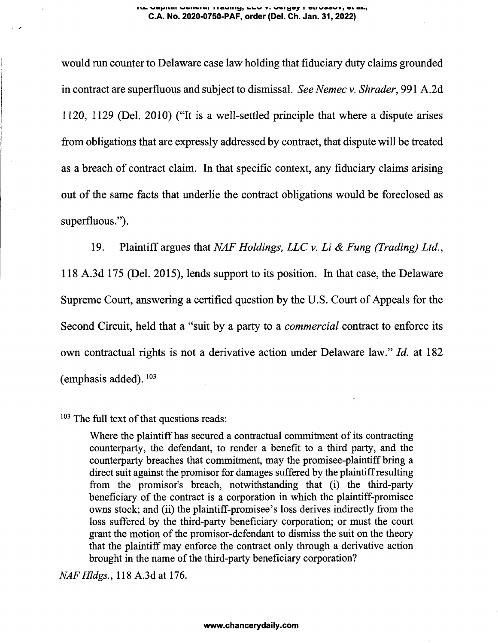## **WQ|>JILGil WGIIGiai I ICIMIIIKjj kkW Va W'Gal GIIVQOW\*) VW Ql.y C.A. No. 2020-0750-PAF, order (Del. Ch. Jan. 31, 2022)**

would run counter to Delaware case law holding that fiduciary duty claims grounded in contract are superfluous and subject to dismissal. *See Nemec v. Shrader,* 991 A.2d 1120, 1129 (Del. 2010) ("It is a well-settled principle that where a dispute arises from obligations that are expressly addressed by contract, that dispute will be treated as a breach of contract claim. In that specific context, any fiduciary claims arising out of the same facts that underlie the contract obligations would be foreclosed as superfluous.").

19. Plaintiff argues that *NAF Holdings, LLC v. Li & Fung (Trading) Ltd.,* 118 A.3d 175 (Del. 2015), lends support to its position. In that case, the Delaware Supreme Court, answering a certified question by the U.S. Court of Appeals for the Second Circuit, held that a "suit by a party to a *commercial* contract to enforce its own contractual rights is not a derivative action under Delaware law." *Id.* at 182 (emphasis added).<sup>103</sup>

 $103$  The full text of that questions reads:

Where the plaintiff has secured a contractual commitment of its contracting counterparty, the defendant, to render a benefit to a third party, and the counterparty breaches that commitment, may the promisee-plaintiff bring a direct suit against the promisor for damages suffered by the plaintiffresulting from the promisor's breach, notwithstanding that (i) the third-party beneficiary of the contract is a corporation in which the plaintiff-promisee owns stock; and (ii) the plaintiff-promisee's loss derives indirectly from the loss suffered by the third-party beneficiary corporation; or must the court grant the motion of the promisor-defendant to dismiss the suit on the theory that the plaintiff may enforce the contract only through a derivative action brought in the name of the third-party beneficiary corporation?

*NAFHldgs.,* 118 A.3d at 176.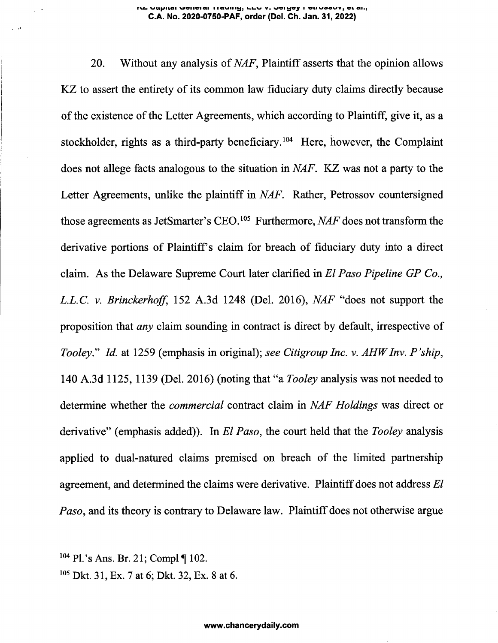#### **iu. vq^iiqi wciiviai iiauui^j <sup>i</sup> viiV99W<sup>9</sup> wb ai.j C.A. No. 2020-0750-PAF, order (Del. Ch. Jan. 31, 2022)**

20. Without any analysis of*NAF,* Plaintiff asserts that the opinion allows KZ to assert the entirety of its common law fiduciary duty claims directly because of the existence of the Letter Agreements, which according to Plaintiff, give it, as a stockholder, rights as a third-party beneficiary.<sup>[104](#page-25-0)</sup> Here, however, the Complaint does not allege facts analogous to the situation in *NAF.* KZ was not a party to the Letter Agreements, unlike the plaintiff in *NAF.* Rather, Petrossov countersigned those agreements as JetSmarter's CEO.<sup>[105](#page-25-1)</sup> Furthermore, *NAF* does not transform the derivative portions of Plaintiffs claim for breach of fiduciary duty into a direct claim. As the Delaware Supreme Court later clarified in *El Paso Pipeline GP Co., L.L.C, v. Brinckerhoff,* 152 A.3d 1248 (Del. 2016), *NAF* "does not support the proposition that *any* claim sounding in contract is direct by default, irrespective of *Tooley.'1'' Id.* at <sup>1259</sup> (emphasis in original); *see Citigroup Inc. v. AHWInv. P'ship,* 140 A.3d 1125, 1139 (Del. 2016) (noting that "a *Tooley* analysis was not needed to determine whether the *commercial* contract claim in *NAF Holdings* was direct or derivative" (emphasis added)). In *El Paso,* the court held that the *Tooley* analysis applied to dual-natured claims premised on breach of the limited partnership agreement, and determined the claims were derivative. Plaintiff does not address *El Paso*, and its theory is contrary to Delaware law. Plaintiff does not otherwise argue

<span id="page-25-0"></span> $104$  Pl.'s Ans. Br. 21; Compl¶ 102.

<span id="page-25-1"></span><sup>105</sup> Dkt. 31, Ex. 7 at 6; Dkt. 32, Ex. 8 at 6.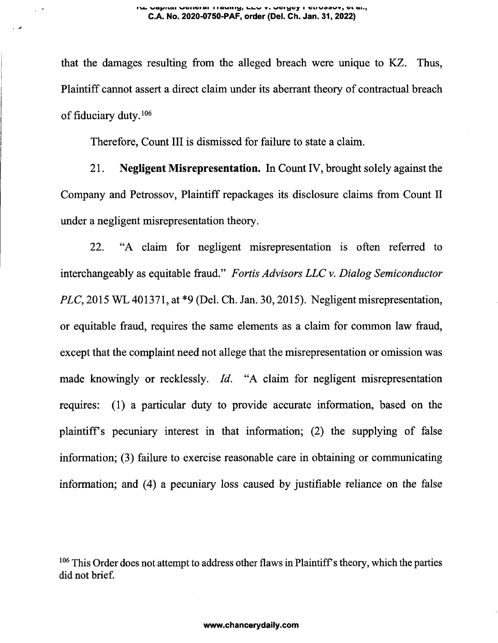$\ddot{\phantom{0}}$ 

that the damages resulting from the alleged breach were unique to KZ. Thus, Plaintiff cannot assert a direct claim under its aberrant theory of contractual breach of fiduciary duty.<sup>106</sup>

Therefore, Count III is dismissed for failure to state a claim.

21. **Negligent Misrepresentation.** In Count IV, brought solely against the Company and Petrossov, Plaintiff repackages its disclosure claims from Count II under a negligent misrepresentation theory.

22. "A claim for negligent misrepresentation is often referred to interchangeably as equitable fraud." *Fortis Advisors LLC v. Dialog Semiconductor PLC,* 2015 WL 401371, at \*9 (Del. Ch. Jan. 30,2015). Negligent misrepresentation, or equitable fraud, requires the same elements as a claim for common law fraud, except that the complaint need not allege that the misrepresentation or omission was made knowingly or recklessly. *Id.* "A claim for negligent misrepresentation requires: (1) a particular duty to provide accurate information, based on the plaintiffs pecuniary interest in that information; (2) the supplying of false information; (3) failure to exercise reasonable care in obtaining or communicating information; and (4) a pecuniary loss caused by justifiable reliance on the false

 $106$  This Order does not attempt to address other flaws in Plaintiff's theory, which the parties did not brief.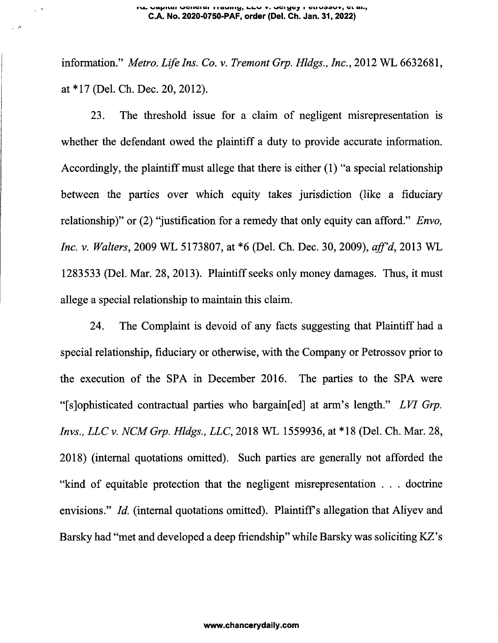$\sqrt{a}$ 

information." *Metro. Life Ins. Co. v. Tremont Grp. Hldgs., Inc.,* 2012 WL 6632681, at \*17 (Del. Ch. Dec. 20, 2012).

23. The threshold issue for a claim of negligent misrepresentation is whether the defendant owed the plaintiff a duty to provide accurate information. Accordingly, the plaintiff must allege that there is either  $(1)$  "a special relationship between the parties over which equity takes jurisdiction (like a fiduciary relationship)" or (2) "justification for a remedy that only equity can afford." *Envo, Inc. v. Walters,* 2009 WL 5173807, at \*6 (Del. Ch. Dec. 30, 2009), *aff'd,* 2013 WL 1283533 (Del. Mar. 28, 2013). Plaintiff seeks only money damages. Thus, it must allege a special relationship to maintain this claim.

24. The Complaint is devoid of any facts suggesting that Plaintiff had a special relationship, fiduciary or otherwise, with the Company or Petrossov prior to the execution of the SPA in December 2016. The parties to the SPA were "[sjophisticated contractual parties who bargainfed] at arm's length." *LVI Grp. Invs., LLCv. NCMGrp. Hldgs., LLC,* 2018 WL 1559936, at \*18 (Del. Ch. Mar. 28, 2018) (internal quotations omitted). Such parties are generally not afforded the "kind of equitable protection that the negligent misrepresentation . . . doctrine envisions." *Id.* (internal quotations omitted). Plaintiff's allegation that Aliyev and Barsky had "met and developed a deep friendship" while Barsky was soliciting KZ's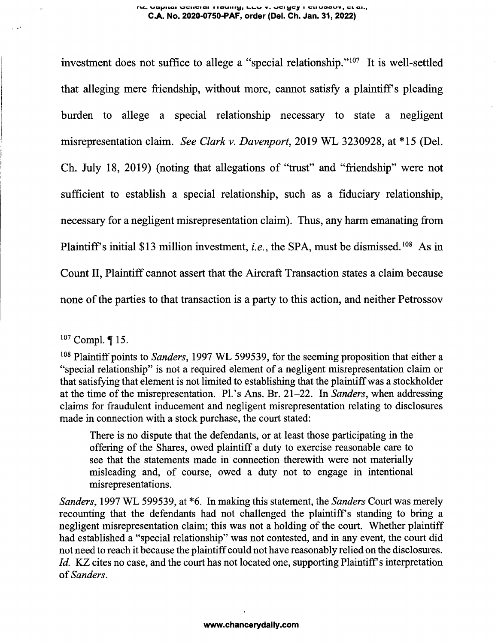#### **rv«\_ va^/iiaa wiivi ai iigimiii^, kuv v. vci^cy <sup>i</sup> cu vookzv , vi ai. C.A. No. 2020-0750-PAF, order (Del. Ch. Jan. 31, 2022)**

investment does not suffice to allege a "special relationship."[107](#page-28-0) It is well-settled that alleging mere friendship, without more, cannot satisfy a plaintiff's pleading burden to allege a special relationship necessary to state a negligent misrepresentation claim. *See Clark v. Davenport,* 2019 WL 3230928, at \*15 (Del. Ch. July 18, 2019) (noting that allegations of "trust" and "friendship" were not sufficient to establish a special relationship, such as a fiduciary relationship, necessary for a negligent misrepresentation claim). Thus, any harm emanating from Plaintiff's initial \$13 million investment, *i.e.*, the SPA, must be dismissed.<sup>[108](#page-28-1)</sup> As in Count II, Plaintiff cannot assert that the Aircraft Transaction states a claim because none of the parties to that transaction is a party to this action, and neither Petrossov

<span id="page-28-0"></span> $107$  Compl.  $\P$  15.

<span id="page-28-1"></span><sup>108</sup> Plaintiff points to *Sanders*, 1997 WL 599539, for the seeming proposition that either a "special relationship" is not a required element of a negligent misrepresentation claim or that satisfying that element is not limited to establishing that the plaintiffwas a stockholder at the time of the misrepresentation. Pl.'s Ans. Br. 21–22. In *Sanders*, when addressing claims for fraudulent inducement and negligent misrepresentation relating to disclosures made in connection with a stock purchase, the court stated:

There is no dispute that the defendants, or at least those participating in the offering of the Shares, owed plaintiff a duty to exercise reasonable care to see that the statements made in connection therewith were not materially misleading and, of course, owed a duty not to engage in intentional misrepresentations.

*Sanders,* 1997 WL 599539, at \*6. In making this statement, the *Sanders* Court was merely recounting that the defendants had not challenged the plaintiff's standing to bring a negligent misrepresentation claim; this was not a holding of the court. Whether plaintiff had established a "special relationship" was not contested, and in any event, the court did not need to reach it because the plaintiffcould not have reasonably relied on the disclosures. *Id.* KZ cites no case, and the court has not located one, supporting Plaintiff's interpretation of*Sanders.*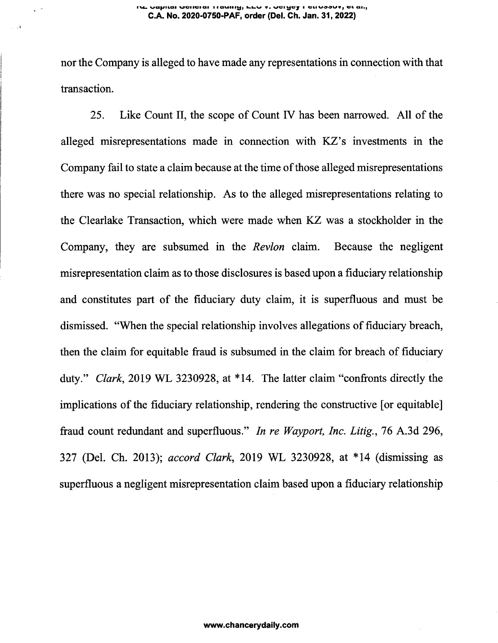#### וע טפטומו שפוופומו וופעוווש, גבע ז. טפושפץ ו פנוטסטטז, פגמה, **C.A. No. 2020-0750-PAF, order (Del. Ch. Jan. 31, 2022)**

nor the Company is alleged to have made any representations in connection with that transaction.

25. Like Count II, the scope of Count IV has been narrowed. All of the alleged misrepresentations made in connection with KZ's investments in the Company fail to state a claim because at the time of those alleged misrepresentations there was no special relationship. As to the alleged misrepresentations relating to the Clearlake Transaction, which were made when KZ was a stockholder in the Company, they are subsumed in the *Revlon* claim. Because the negligent misrepresentation claim as to those disclosures is based upon a fiduciary relationship and constitutes part of the fiduciary duty claim, it is superfluous and must be dismissed. "When the special relationship involves allegations of fiduciary breach, then the claim for equitable fraud is subsumed in the claim for breach of fiduciary duty." *Clark,* 2019 WL 3230928, at \*14. The latter claim "confronts directly the implications of the fiduciary relationship, rendering the constructive [or equitable] fraud count redundant and superfluous." *In re Wayport, Inc. Litig., 16* A.3d 296, 327 (Del. Ch. 2013); *accord Clark,* 2019 WL 3230928, at \*14 (dismissing as superfluous a negligent misrepresentation claim based upon a fiduciary relationship